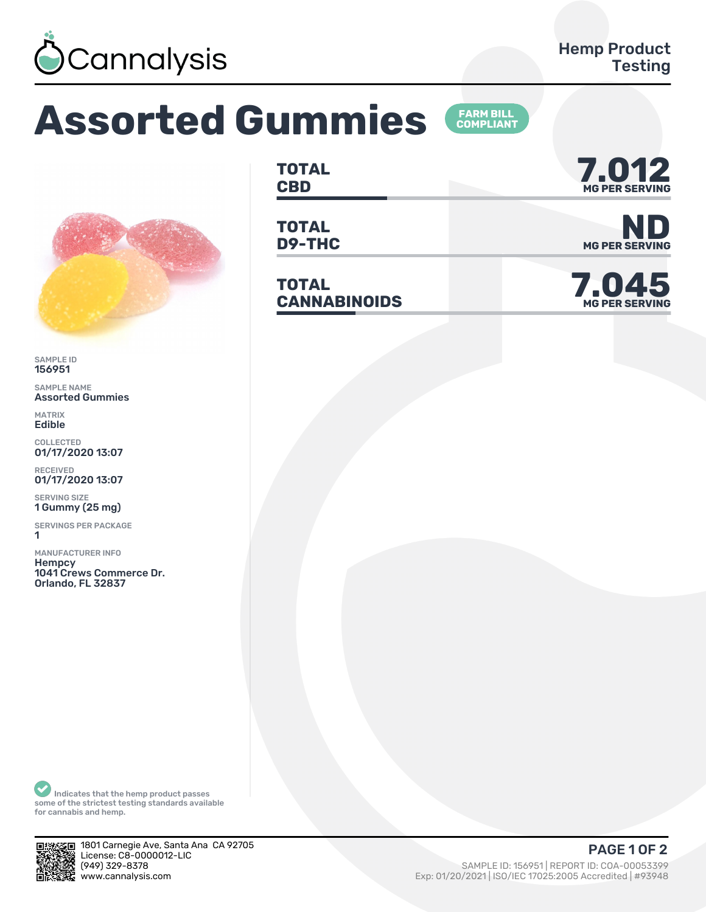

## **Assorted Gummies**



SAMPLE ID 156951

SAMPLE NAME Assorted Gummies

MATRIX Edible

COLLECTED 01/17/2020 13:07

RECEIVED 01/17/2020 13:07

SERVING SIZE 1 Gummy (25 mg)

SERVINGS PER PACKAGE ǽ

MANUFACTURER INFO **Hempcy** 1041 Crews Commerce Dr. Orlando, FL 32837

**TOTAL**

**TOTAL**

**TOTAL** TOTAL<br>CANNABINOIDS



**D9-THC** MG PER SERVING

**MG PER SERVING**

Indicates that the hemp product passes some of the strictest testing standards available for cannabis and hemp.



1801 Carnegie Ave, Santa Ana CA 92705 License: C8-0000012-LIC<br>(949) 329-8378